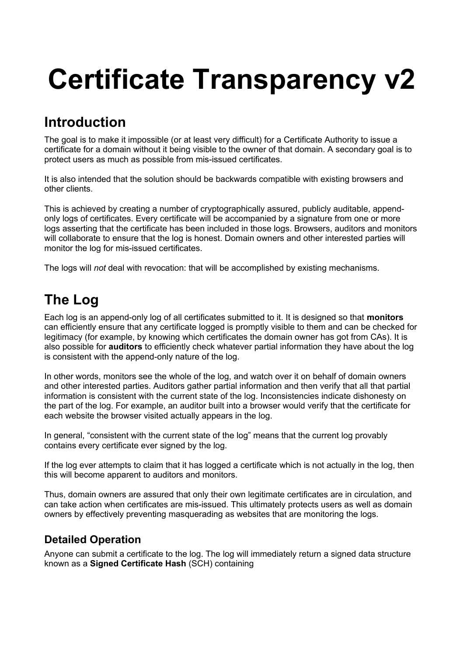# **Certificate Transparency v2**

### **Introduction**

The goal is to make it impossible (or at least very difficult) for a Certificate Authority to issue a certificate for a domain without it being visible to the owner of that domain. A secondary goal is to protect users as much as possible from mis-issued certificates.

It is also intended that the solution should be backwards compatible with existing browsers and other clients.

This is achieved by creating a number of cryptographically assured, publicly auditable, appendonly logs of certificates. Every certificate will be accompanied by a signature from one or more logs asserting that the certificate has been included in those logs. Browsers, auditors and monitors will collaborate to ensure that the log is honest. Domain owners and other interested parties will monitor the log for mis-issued certificates.

The logs will *not* deal with revocation: that will be accomplished by existing mechanisms.

## **The Log**

Each log is an append-only log of all certificates submitted to it. It is designed so that **monitors** can efficiently ensure that any certificate logged is promptly visible to them and can be checked for legitimacy (for example, by knowing which certificates the domain owner has got from CAs). It is also possible for **auditors** to efficiently check whatever partial information they have about the log is consistent with the append-only nature of the log.

In other words, monitors see the whole of the log, and watch over it on behalf of domain owners and other interested parties. Auditors gather partial information and then verify that all that partial information is consistent with the current state of the log. Inconsistencies indicate dishonesty on the part of the log. For example, an auditor built into a browser would verify that the certificate for each website the browser visited actually appears in the log.

In general, "consistent with the current state of the log" means that the current log provably contains every certificate ever signed by the log.

If the log ever attempts to claim that it has logged a certificate which is not actually in the log, then this will become apparent to auditors and monitors.

Thus, domain owners are assured that only their own legitimate certificates are in circulation, and can take action when certificates are mis-issued. This ultimately protects users as well as domain owners by effectively preventing masquerading as websites that are monitoring the logs.

#### **Detailed Operation**

Anyone can submit a certificate to the log. The log will immediately return a signed data structure known as a **Signed Certificate Hash** (SCH) containing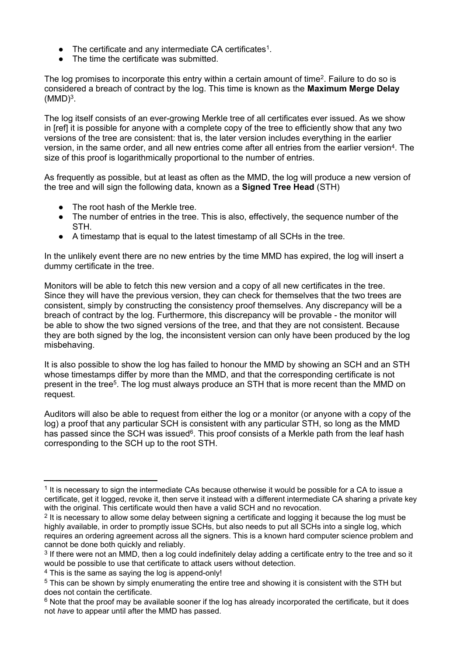- $\bullet$  The certificate and any intermediate CA certificates<sup>1</sup>.
- The time the certificate was submitted.

The log promises to incorporate this entry within a certain amount of time<sup>2</sup>. Failure to do so is considered a breach of contract by the log. This time is known as the **Maximum Merge Delay**  $(MMD)^3$ .

The log itself consists of an ever-growing Merkle tree of all certificates ever issued. As we show in [ref] it is possible for anyone with a complete copy of the tree to efficiently show that any two versions of the tree are consistent: that is, the later version includes everything in the earlier version, in the same order, and all new entries come after all entries from the earlier version<sup>4</sup>. The size of this proof is logarithmically proportional to the number of entries.

As frequently as possible, but at least as often as the MMD, the log will produce a new version of the tree and will sign the following data, known as a **Signed Tree Head** (STH)

- The root hash of the Merkle tree.
- The number of entries in the tree. This is also, effectively, the sequence number of the STH.
- A timestamp that is equal to the latest timestamp of all SCHs in the tree.

In the unlikely event there are no new entries by the time MMD has expired, the log will insert a dummy certificate in the tree.

Monitors will be able to fetch this new version and a copy of all new certificates in the tree. Since they will have the previous version, they can check for themselves that the two trees are consistent, simply by constructing the consistency proof themselves. Any discrepancy will be a breach of contract by the log. Furthermore, this discrepancy will be provable - the monitor will be able to show the two signed versions of the tree, and that they are not consistent. Because they are both signed by the log, the inconsistent version can only have been produced by the log misbehaving.

It is also possible to show the log has failed to honour the MMD by showing an SCH and an STH whose timestamps differ by more than the MMD, and that the corresponding certificate is not present in the tree<sup>5</sup>. The log must always produce an STH that is more recent than the MMD on request.

Auditors will also be able to request from either the log or a monitor (or anyone with a copy of the log) a proof that any particular SCH is consistent with any particular STH, so long as the MMD has passed since the SCH was issued<sup>6</sup>. This proof consists of a Merkle path from the leaf hash corresponding to the SCH up to the root STH.

<sup>&</sup>lt;sup>1</sup> It is necessary to sign the intermediate CAs because otherwise it would be possible for a CA to issue a certificate, get it logged, revoke it, then serve it instead with a different intermediate CA sharing a private key with the original. This certificate would then have a valid SCH and no revocation.

 $2$  It is necessary to allow some delay between signing a certificate and logging it because the log must be highly available, in order to promptly issue SCHs, but also needs to put all SCHs into a single log, which requires an ordering agreement across all the signers. This is a known hard computer science problem and cannot be done both quickly and reliably.

 $3$  If there were not an MMD, then a log could indefinitely delay adding a certificate entry to the tree and so it would be possible to use that certificate to attack users without detection.

<sup>&</sup>lt;sup>4</sup> This is the same as saying the log is append-only!

<sup>&</sup>lt;sup>5</sup> This can be shown by simply enumerating the entire tree and showing it is consistent with the STH but does not contain the certificate.

<sup>&</sup>lt;sup>6</sup> Note that the proof may be available sooner if the log has already incorporated the certificate, but it does not *have* to appear until after the MMD has passed.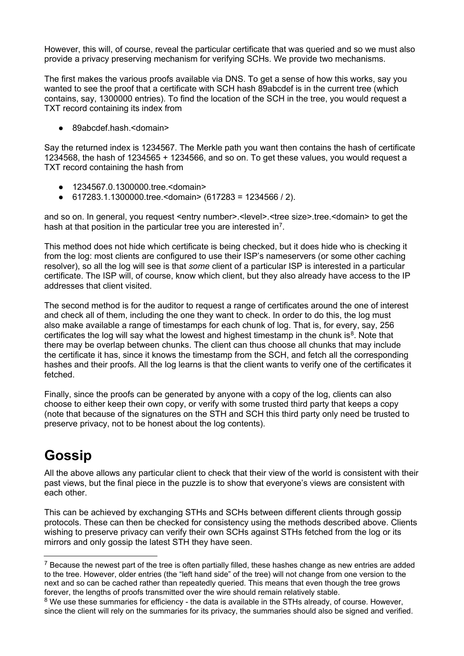However, this will, of course, reveal the particular certificate that was queried and so we must also provide a privacy preserving mechanism for verifying SCHs. We provide two mechanisms.

The first makes the various proofs available via DNS. To get a sense of how this works, say you wanted to see the proof that a certificate with SCH hash 89abcdef is in the current tree (which contains, say, 1300000 entries). To find the location of the SCH in the tree, you would request a TXT record containing its index from

● 89abcdef.hash.<domain>

Say the returned index is 1234567. The Merkle path you want then contains the hash of certificate 1234568, the hash of 1234565 + 1234566, and so on. To get these values, you would request a TXT record containing the hash from

- 1234567.0.1300000.tree.<domain>
- 617283.1.1300000.tree.<domain> (617283 = 1234566 / 2).

and so on. In general, you request <entry number>.<level>.<tree size>.tree.<domain> to get the hash at that position in the particular tree you are interested in<sup>7</sup>.

This method does not hide which certificate is being checked, but it does hide who is checking it from the log: most clients are configured to use their ISP's nameservers (or some other caching resolver), so all the log will see is that *some* client of a particular ISP is interested in a particular certificate. The ISP will, of course, know which client, but they also already have access to the IP addresses that client visited.

The second method is for the auditor to request a range of certificates around the one of interest and check all of them, including the one they want to check. In order to do this, the log must also make available a range of timestamps for each chunk of log. That is, for every, say, 256 certificates the log will say what the lowest and highest timestamp in the chunk is<sup>8</sup>. Note that there may be overlap between chunks. The client can thus choose all chunks that may include the certificate it has, since it knows the timestamp from the SCH, and fetch all the corresponding hashes and their proofs. All the log learns is that the client wants to verify one of the certificates it fetched.

Finally, since the proofs can be generated by anyone with a copy of the log, clients can also choose to either keep their own copy, or verify with some trusted third party that keeps a copy (note that because of the signatures on the STH and SCH this third party only need be trusted to preserve privacy, not to be honest about the log contents).

# **Gossip**

All the above allows any particular client to check that their view of the world is consistent with their past views, but the final piece in the puzzle is to show that everyone's views are consistent with each other.

This can be achieved by exchanging STHs and SCHs between different clients through gossip protocols. These can then be checked for consistency using the methods described above. Clients wishing to preserve privacy can verify their own SCHs against STHs fetched from the log or its mirrors and only gossip the latest STH they have seen.

<sup>&</sup>lt;sup>7</sup> Because the newest part of the tree is often partially filled, these hashes change as new entries are added to the tree. However, older entries (the "left hand side" of the tree) will not change from one version to the next and so can be cached rather than repeatedly queried. This means that even though the tree grows forever, the lengths of proofs transmitted over the wire should remain relatively stable.

<sup>&</sup>lt;sup>8</sup> We use these summaries for efficiency - the data is available in the STHs already, of course. However, since the client will rely on the summaries for its privacy, the summaries should also be signed and verified.